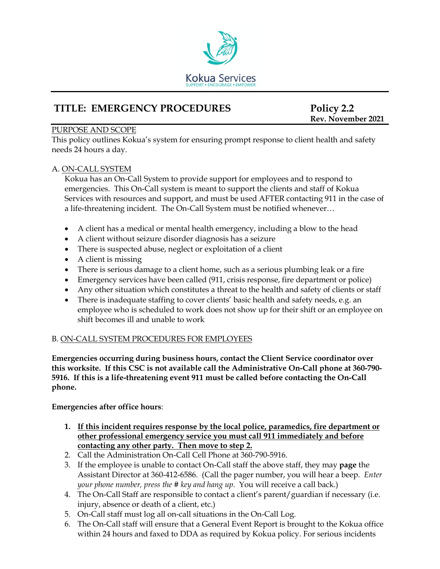

# TITLE: EMERGENCY PROCEDURES<br>Rev. November 2021

# PURPOSE AND SCOPE

This policy outlines Kokua's system for ensuring prompt response to client health and safety needs 24 hours a day.

# A. ON-CALL SYSTEM

Kokua has an On-Call System to provide support for employees and to respond to emergencies. This On-Call system is meant to support the clients and staff of Kokua Services with resources and support, and must be used AFTER contacting 911 in the case of a life-threatening incident. The On-Call System must be notified whenever…

- A client has a medical or mental health emergency, including a blow to the head
- A client without seizure disorder diagnosis has a seizure
- There is suspected abuse, neglect or exploitation of a client
- A client is missing
- There is serious damage to a client home, such as a serious plumbing leak or a fire
- Emergency services have been called (911, crisis response, fire department or police)
- Any other situation which constitutes a threat to the health and safety of clients or staff
- There is inadequate staffing to cover clients' basic health and safety needs, e.g. an employee who is scheduled to work does not show up for their shift or an employee on shift becomes ill and unable to work

# B. ON-CALL SYSTEM PROCEDURES FOR EMPLOYEES

**Emergencies occurring during business hours, contact the Client Service coordinator over this worksite. If this CSC is not available call the Administrative On-Call phone at 360-790- 5916. If this is a life-threatening event 911 must be called before contacting the On-Call phone.**

**Emergencies after office hours**:

- **1. If this incident requires response by the local police, paramedics, fire department or other professional emergency service you must call 911 immediately and before contacting any other party. Then move to step 2.**
- 2. Call the Administration On-Call Cell Phone at 360-790-5916.
- 3. If the employee is unable to contact On-Call staff the above staff, they may **page** the Assistant Director at 360-412-6586. (Call the pager number, you will hear a beep. *Enter your phone number, press the # key and hang up*. You will receive a call back.)
- 4. The On-Call Staff are responsible to contact a client's parent/guardian if necessary (i.e. injury, absence or death of a client, etc.)
- 5. On-Call staff must log all on-call situations in the On-Call Log.
- 6. The On-Call staff will ensure that a General Event Report is brought to the Kokua office within 24 hours and faxed to DDA as required by Kokua policy. For serious incidents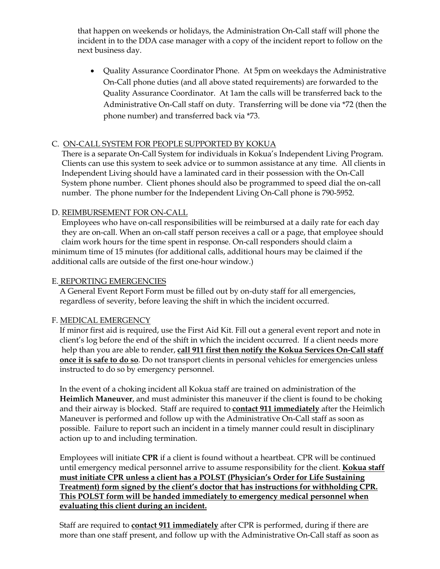that happen on weekends or holidays, the Administration On-Call staff will phone the incident in to the DDA case manager with a copy of the incident report to follow on the next business day.

• Quality Assurance Coordinator Phone. At 5pm on weekdays the Administrative On-Call phone duties (and all above stated requirements) are forwarded to the Quality Assurance Coordinator. At 1am the calls will be transferred back to the Administrative On-Call staff on duty. Transferring will be done via \*72 (then the phone number) and transferred back via \*73.

# C. ON-CALL SYSTEM FOR PEOPLE SUPPORTED BY KOKUA

There is a separate On-Call System for individuals in Kokua's Independent Living Program. Clients can use this system to seek advice or to summon assistance at any time. All clients in Independent Living should have a laminated card in their possession with the On-Call System phone number. Client phones should also be programmed to speed dial the on-call number. The phone number for the Independent Living On-Call phone is 790-5952.

## D. REIMBURSEMENT FOR ON-CALL

 Employees who have on-call responsibilities will be reimbursed at a daily rate for each day they are on-call. When an on-call staff person receives a call or a page, that employee should claim work hours for the time spent in response. On-call responders should claim a minimum time of 15 minutes (for additional calls, additional hours may be claimed if the additional calls are outside of the first one-hour window.)

#### E. REPORTING EMERGENCIES

A General Event Report Form must be filled out by on-duty staff for all emergencies, regardless of severity, before leaving the shift in which the incident occurred.

## F. MEDICAL EMERGENCY

 If minor first aid is required, use the First Aid Kit. Fill out a general event report and note in client's log before the end of the shift in which the incident occurred. If a client needs more help than you are able to render, **call 911 first then notify the Kokua Services On-Call staff once it is safe to do so**. Do not transport clients in personal vehicles for emergencies unless instructed to do so by emergency personnel.

In the event of a choking incident all Kokua staff are trained on administration of the **Heimlich Maneuver**, and must administer this maneuver if the client is found to be choking and their airway is blocked. Staff are required to **contact 911 immediately** after the Heimlich Maneuver is performed and follow up with the Administrative On-Call staff as soon as possible. Failure to report such an incident in a timely manner could result in disciplinary action up to and including termination.

Employees will initiate **CPR** if a client is found without a heartbeat. CPR will be continued until emergency medical personnel arrive to assume responsibility for the client. **Kokua staff must initiate CPR unless a client has a POLST (Physician's Order for Life Sustaining Treatment) form signed by the client's doctor that has instructions for withholding CPR. This POLST form will be handed immediately to emergency medical personnel when evaluating this client during an incident.**

Staff are required to **contact 911 immediately** after CPR is performed, during if there are more than one staff present, and follow up with the Administrative On-Call staff as soon as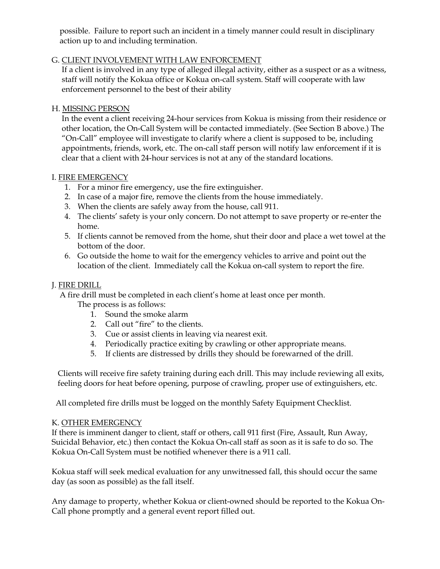possible. Failure to report such an incident in a timely manner could result in disciplinary action up to and including termination.

# G. CLIENT INVOLVEMENT WITH LAW ENFORCEMENT

If a client is involved in any type of alleged illegal activity, either as a suspect or as a witness, staff will notify the Kokua office or Kokua on-call system. Staff will cooperate with law enforcement personnel to the best of their ability

# H. MISSING PERSON

In the event a client receiving 24-hour services from Kokua is missing from their residence or other location, the On-Call System will be contacted immediately. (See Section B above.) The "On-Call" employee will investigate to clarify where a client is supposed to be, including appointments, friends, work, etc. The on-call staff person will notify law enforcement if it is clear that a client with 24-hour services is not at any of the standard locations.

# I. FIRE EMERGENCY

- 1. For a minor fire emergency, use the fire extinguisher.
- 2. In case of a major fire, remove the clients from the house immediately.
- 3. When the clients are safely away from the house, call 911.
- 4. The clients' safety is your only concern. Do not attempt to save property or re-enter the home.
- 5. If clients cannot be removed from the home, shut their door and place a wet towel at the bottom of the door.
- 6. Go outside the home to wait for the emergency vehicles to arrive and point out the location of the client. Immediately call the Kokua on-call system to report the fire.

# J. FIRE DRILL

A fire drill must be completed in each client's home at least once per month.

- The process is as follows:
	- 1. Sound the smoke alarm
	- 2. Call out "fire" to the clients.
	- 3. Cue or assist clients in leaving via nearest exit.
	- 4. Periodically practice exiting by crawling or other appropriate means.
	- 5. If clients are distressed by drills they should be forewarned of the drill.

Clients will receive fire safety training during each drill. This may include reviewing all exits, feeling doors for heat before opening, purpose of crawling, proper use of extinguishers, etc.

All completed fire drills must be logged on the monthly Safety Equipment Checklist.

# K. OTHER EMERGENCY

If there is imminent danger to client, staff or others, call 911 first (Fire, Assault, Run Away, Suicidal Behavior, etc.) then contact the Kokua On-call staff as soon as it is safe to do so. The Kokua On-Call System must be notified whenever there is a 911 call.

Kokua staff will seek medical evaluation for any unwitnessed fall, this should occur the same day (as soon as possible) as the fall itself.

Any damage to property, whether Kokua or client-owned should be reported to the Kokua On-Call phone promptly and a general event report filled out.